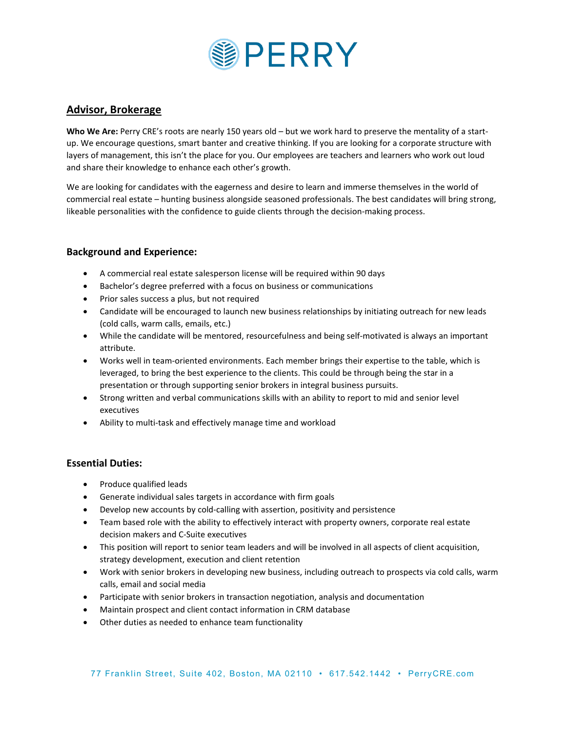

# **Advisor, Brokerage**

**Who We Are:** Perry CRE's roots are nearly 150 years old – but we work hard to preserve the mentality of a startup. We encourage questions, smart banter and creative thinking. If you are looking for a corporate structure with layers of management, this isn't the place for you. Our employees are teachers and learners who work out loud and share their knowledge to enhance each other's growth.

We are looking for candidates with the eagerness and desire to learn and immerse themselves in the world of commercial real estate – hunting business alongside seasoned professionals. The best candidates will bring strong, likeable personalities with the confidence to guide clients through the decision-making process.

# **Background and Experience:**

- A commercial real estate salesperson license will be required within 90 days
- Bachelor's degree preferred with a focus on business or communications
- Prior sales success a plus, but not required
- Candidate will be encouraged to launch new business relationships by initiating outreach for new leads (cold calls, warm calls, emails, etc.)
- While the candidate will be mentored, resourcefulness and being self-motivated is always an important attribute.
- Works well in team-oriented environments. Each member brings their expertise to the table, which is leveraged, to bring the best experience to the clients. This could be through being the star in a presentation or through supporting senior brokers in integral business pursuits.
- Strong written and verbal communications skills with an ability to report to mid and senior level executives
- Ability to multi-task and effectively manage time and workload

#### **Essential Duties:**

- Produce qualified leads
- Generate individual sales targets in accordance with firm goals
- Develop new accounts by cold-calling with assertion, positivity and persistence
- Team based role with the ability to effectively interact with property owners, corporate real estate decision makers and C-Suite executives
- This position will report to senior team leaders and will be involved in all aspects of client acquisition, strategy development, execution and client retention
- Work with senior brokers in developing new business, including outreach to prospects via cold calls, warm calls, email and social media
- Participate with senior brokers in transaction negotiation, analysis and documentation
- Maintain prospect and client contact information in CRM database
- Other duties as needed to enhance team functionality